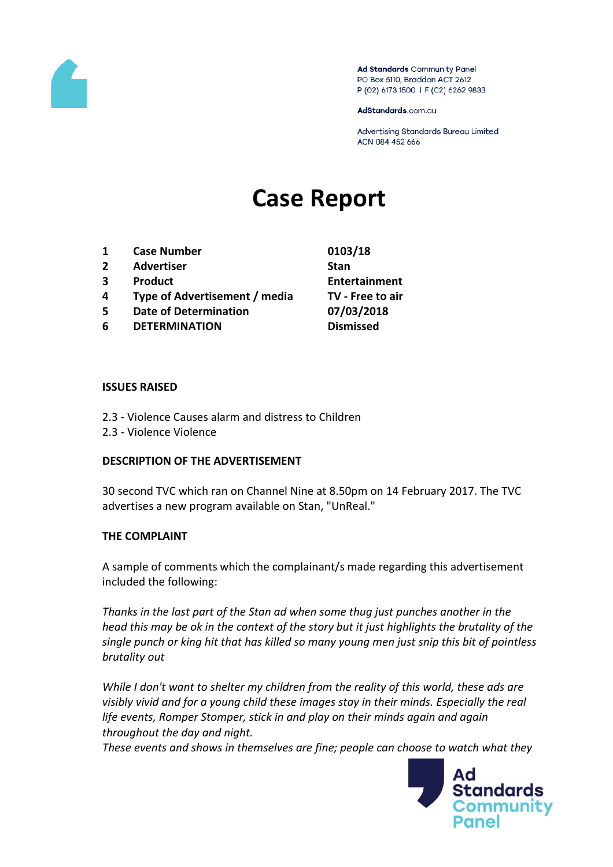

Ad Standards Community Panel PO Box 5110, Braddon ACT 2612 P (02) 6173 1500 | F (02) 6262 9833

AdStandards.com.au

Advertising Standards Bureau Limited ACN 084 452 666

# **Case Report**

- **1 Case Number 0103/18**
- **2 Advertiser Stan**
- 
- **4 Type of Advertisement / media TV - Free to air**
- **5 Date of Determination 07/03/2018**
- **6 DETERMINATION Dismissed**

**3 Product Entertainment**

### **ISSUES RAISED**

- 2.3 Violence Causes alarm and distress to Children
- 2.3 Violence Violence

### **DESCRIPTION OF THE ADVERTISEMENT**

30 second TVC which ran on Channel Nine at 8.50pm on 14 February 2017. The TVC advertises a new program available on Stan, "UnReal."

### **THE COMPLAINT**

A sample of comments which the complainant/s made regarding this advertisement included the following:

*Thanks in the last part of the Stan ad when some thug just punches another in the head this may be ok in the context of the story but it just highlights the brutality of the single punch or king hit that has killed so many young men just snip this bit of pointless brutality out*

*While I don't want to shelter my children from the reality of this world, these ads are visibly vivid and for a young child these images stay in their minds. Especially the real life events, Romper Stomper, stick in and play on their minds again and again throughout the day and night.*

*These events and shows in themselves are fine; people can choose to watch what they* 

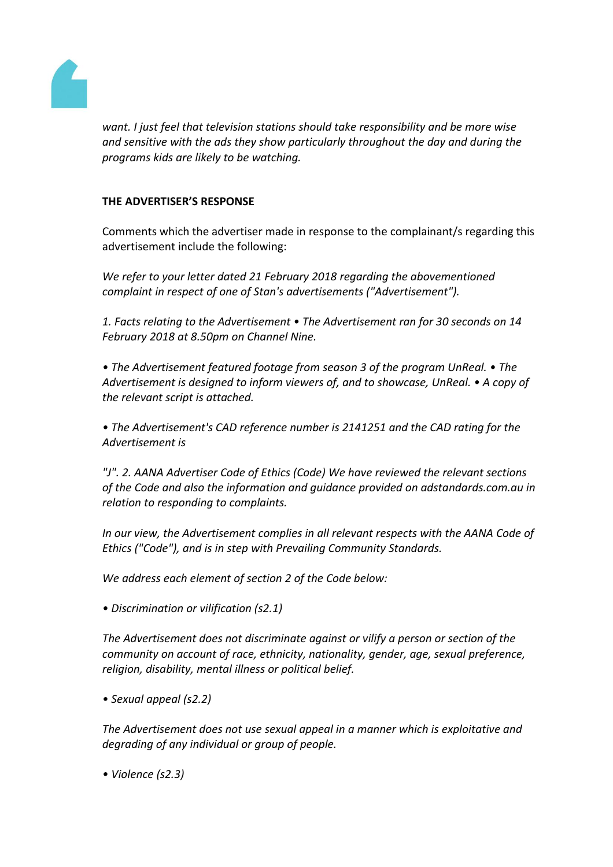

*want. I just feel that television stations should take responsibility and be more wise and sensitive with the ads they show particularly throughout the day and during the programs kids are likely to be watching.*

## **THE ADVERTISER'S RESPONSE**

Comments which the advertiser made in response to the complainant/s regarding this advertisement include the following:

*We refer to your letter dated 21 February 2018 regarding the abovementioned complaint in respect of one of Stan's advertisements ("Advertisement").*

*1. Facts relating to the Advertisement • The Advertisement ran for 30 seconds on 14 February 2018 at 8.50pm on Channel Nine.*

*• The Advertisement featured footage from season 3 of the program UnReal. • The Advertisement is designed to inform viewers of, and to showcase, UnReal. • A copy of the relevant script is attached.*

*• The Advertisement's CAD reference number is 2141251 and the CAD rating for the Advertisement is*

*"J". 2. AANA Advertiser Code of Ethics (Code) We have reviewed the relevant sections of the Code and also the information and guidance provided on adstandards.com.au in relation to responding to complaints.*

*In our view, the Advertisement complies in all relevant respects with the AANA Code of Ethics ("Code"), and is in step with Prevailing Community Standards.*

*We address each element of section 2 of the Code below:*

*• Discrimination or vilification (s2.1)*

*The Advertisement does not discriminate against or vilify a person or section of the community on account of race, ethnicity, nationality, gender, age, sexual preference, religion, disability, mental illness or political belief.*

*• Sexual appeal (s2.2)*

*The Advertisement does not use sexual appeal in a manner which is exploitative and degrading of any individual or group of people.*

*• Violence (s2.3)*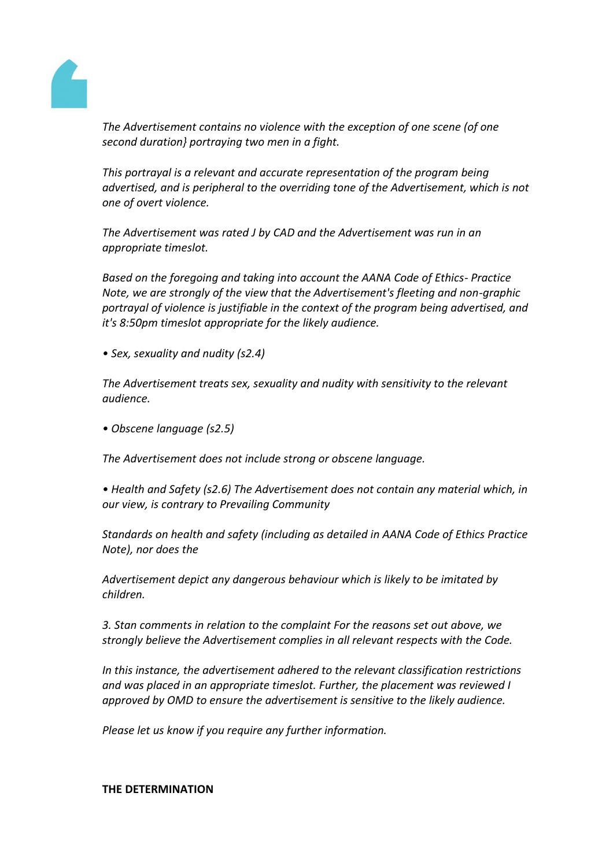

*The Advertisement contains no violence with the exception of one scene (of one second duration} portraying two men in a fight.*

*This portrayal is a relevant and accurate representation of the program being advertised, and is peripheral to the overriding tone of the Advertisement, which is not one of overt violence.*

*The Advertisement was rated J by CAD and the Advertisement was run in an appropriate timeslot.*

*Based on the foregoing and taking into account the AANA Code of Ethics- Practice Note, we are strongly of the view that the Advertisement's fleeting and non-graphic portrayal of violence is justifiable in the context of the program being advertised, and it's 8:50pm timeslot appropriate for the likely audience.*

*• Sex, sexuality and nudity (s2.4)*

*The Advertisement treats sex, sexuality and nudity with sensitivity to the relevant audience.*

*• Obscene language (s2.5)*

*The Advertisement does not include strong or obscene language.*

*• Health and Safety (s2.6) The Advertisement does not contain any material which, in our view, is contrary to Prevailing Community*

*Standards on health and safety (including as detailed in AANA Code of Ethics Practice Note), nor does the*

*Advertisement depict any dangerous behaviour which is likely to be imitated by children.*

*3. Stan comments in relation to the complaint For the reasons set out above, we strongly believe the Advertisement complies in all relevant respects with the Code.*

*In this instance, the advertisement adhered to the relevant classification restrictions and was placed in an appropriate timeslot. Further, the placement was reviewed I approved by OMD to ensure the advertisement is sensitive to the likely audience.*

*Please let us know if you require any further information.*

### **THE DETERMINATION**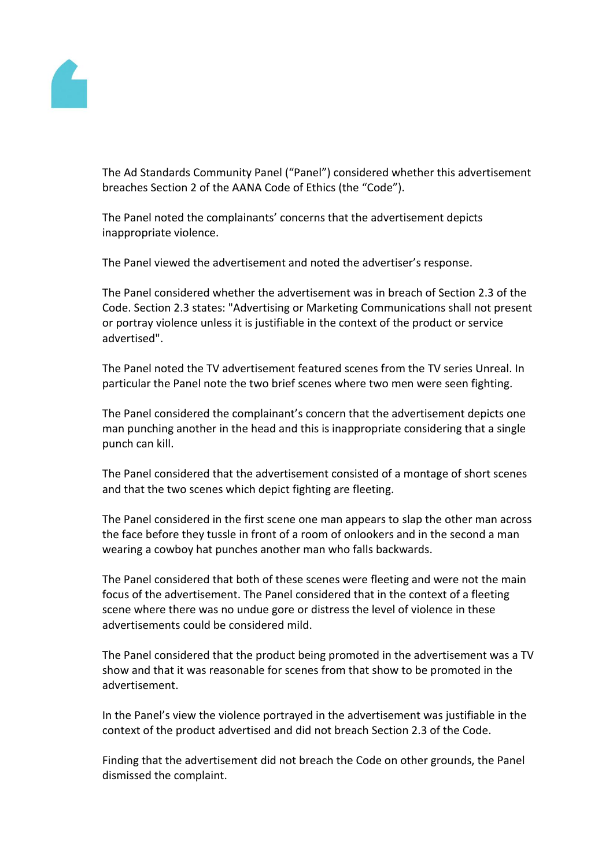

The Ad Standards Community Panel ("Panel") considered whether this advertisement breaches Section 2 of the AANA Code of Ethics (the "Code").

The Panel noted the complainants' concerns that the advertisement depicts inappropriate violence.

The Panel viewed the advertisement and noted the advertiser's response.

The Panel considered whether the advertisement was in breach of Section 2.3 of the Code. Section 2.3 states: "Advertising or Marketing Communications shall not present or portray violence unless it is justifiable in the context of the product or service advertised".

The Panel noted the TV advertisement featured scenes from the TV series Unreal. In particular the Panel note the two brief scenes where two men were seen fighting.

The Panel considered the complainant's concern that the advertisement depicts one man punching another in the head and this is inappropriate considering that a single punch can kill.

The Panel considered that the advertisement consisted of a montage of short scenes and that the two scenes which depict fighting are fleeting.

The Panel considered in the first scene one man appears to slap the other man across the face before they tussle in front of a room of onlookers and in the second a man wearing a cowboy hat punches another man who falls backwards.

The Panel considered that both of these scenes were fleeting and were not the main focus of the advertisement. The Panel considered that in the context of a fleeting scene where there was no undue gore or distress the level of violence in these advertisements could be considered mild.

The Panel considered that the product being promoted in the advertisement was a TV show and that it was reasonable for scenes from that show to be promoted in the advertisement.

In the Panel's view the violence portrayed in the advertisement was justifiable in the context of the product advertised and did not breach Section 2.3 of the Code.

Finding that the advertisement did not breach the Code on other grounds, the Panel dismissed the complaint.